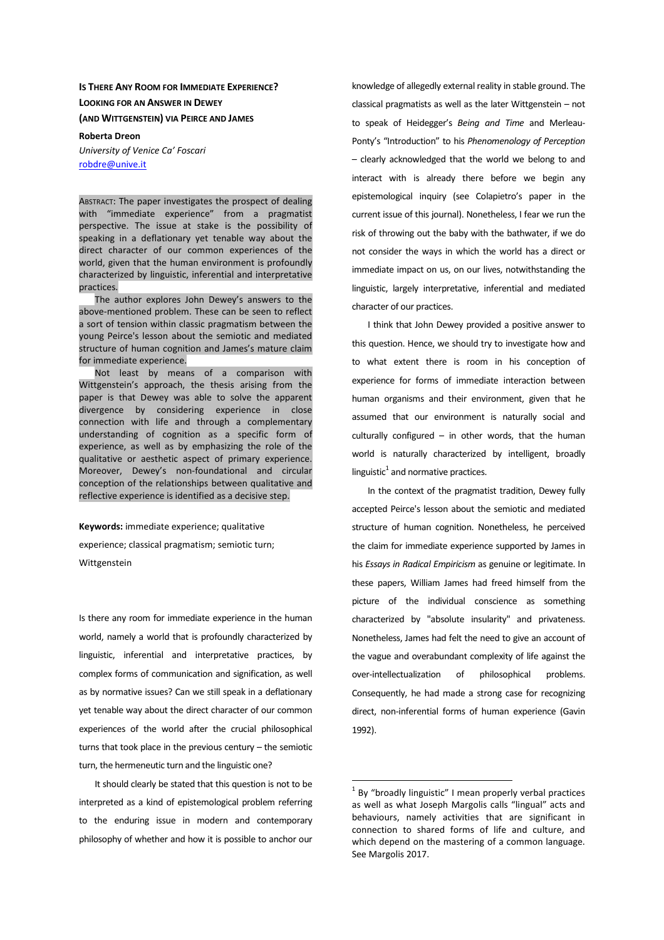# **IS THERE ANY ROOM FOR IMMEDIATE EXPERIENCE? LOOKING FOR AN ANSWER IN DEWEY (AND WITTGENSTEIN) VIA PEIRCE AND JAMES**

#### **Roberta Dreon**

*University of Venice Ca' Foscari*  robdre@unive.it

ABSTRACT: The paper investigates the prospect of dealing with "immediate experience" from a pragmatist perspective. The issue at stake is the possibility of speaking in a deflationary yet tenable way about the direct character of our common experiences of the world, given that the human environment is profoundly characterized by linguistic, inferential and interpretative practices.

The author explores John Dewey's answers to the above-mentioned problem. These can be seen to reflect a sort of tension within classic pragmatism between the young Peirce's lesson about the semiotic and mediated structure of human cognition and James's mature claim for immediate experience.

Not least by means of a comparison with Wittgenstein's approach, the thesis arising from the paper is that Dewey was able to solve the apparent divergence by considering experience in close connection with life and through a complementary understanding of cognition as a specific form of experience, as well as by emphasizing the role of the qualitative or aesthetic aspect of primary experience. Moreover, Dewey's non-foundational and circular conception of the relationships between qualitative and reflective experience is identified as a decisive step.

**Keywords:** immediate experience; qualitative

experience; classical pragmatism; semiotic turn; Wittgenstein

Is there any room for immediate experience in the human world, namely a world that is profoundly characterized by linguistic, inferential and interpretative practices, by complex forms of communication and signification, as well as by normative issues? Can we still speak in a deflationary yet tenable way about the direct character of our common experiences of the world after the crucial philosophical turns that took place in the previous century – the semiotic turn, the hermeneutic turn and the linguistic one?

It should clearly be stated that this question is not to be interpreted as a kind of epistemological problem referring to the enduring issue in modern and contemporary philosophy of whether and how it is possible to anchor our

knowledge of allegedly external reality in stable ground. The classical pragmatists as well as the later Wittgenstein – not to speak of Heidegger's *Being and Time* and Merleau-Ponty's "Introduction" to his *Phenomenology of Perception* – clearly acknowledged that the world we belong to and interact with is already there before we begin any epistemological inquiry (see Colapietro's paper in the current issue of this journal). Nonetheless, I fear we run the risk of throwing out the baby with the bathwater, if we do not consider the ways in which the world has a direct or immediate impact on us, on our lives, notwithstanding the linguistic, largely interpretative, inferential and mediated character of our practices.

I think that John Dewey provided a positive answer to this question. Hence, we should try to investigate how and to what extent there is room in his conception of experience for forms of immediate interaction between human organisms and their environment, given that he assumed that our environment is naturally social and culturally configured  $-$  in other words, that the human world is naturally characterized by intelligent, broadly linguistic $^1$  and normative practices.

In the context of the pragmatist tradition, Dewey fully accepted Peirce's lesson about the semiotic and mediated structure of human cognition. Nonetheless, he perceived the claim for immediate experience supported by James in his *Essays in Radical Empiricism* as genuine or legitimate. In these papers, William James had freed himself from the picture of the individual conscience as something characterized by "absolute insularity" and privateness. Nonetheless, James had felt the need to give an account of the vague and overabundant complexity of life against the over-intellectualization of philosophical problems. Consequently, he had made a strong case for recognizing direct, non-inferential forms of human experience (Gavin 1992).

 $1$  By "broadly linguistic" I mean properly verbal practices as well as what Joseph Margolis calls "lingual" acts and behaviours, namely activities that are significant in connection to shared forms of life and culture, and which depend on the mastering of a common language. See Margolis 2017.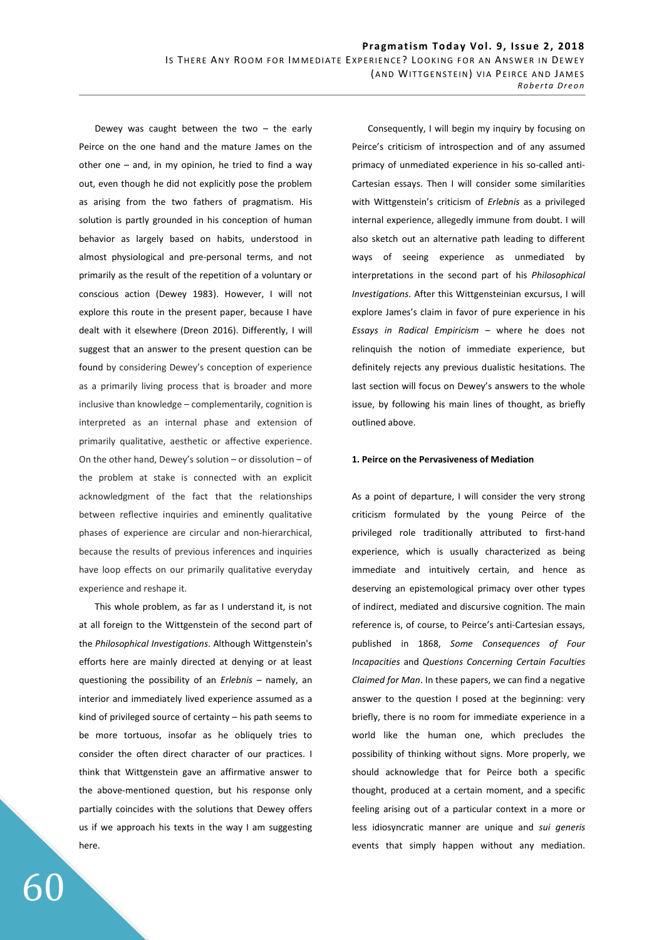Dewey was caught between the two  $-$  the early Peirce on the one hand and the mature James on the other one – and, in my opinion, he tried to find a way out, even though he did not explicitly pose the problem as arising from the two fathers of pragmatism. His solution is partly grounded in his conception of human behavior as largely based on habits, understood in almost physiological and pre-personal terms, and not primarily as the result of the repetition of a voluntary or conscious action (Dewey 1983). However, I will not explore this route in the present paper, because I have dealt with it elsewhere (Dreon 2016). Differently, I will suggest that an answer to the present question can be found by considering Dewey's conception of experience as a primarily living process that is broader and more inclusive than knowledge – complementarily, cognition is interpreted as an internal phase and extension of primarily qualitative, aesthetic or affective experience. On the other hand, Dewey's solution – or dissolution – of the problem at stake is connected with an explicit acknowledgment of the fact that the relationships between reflective inquiries and eminently qualitative phases of experience are circular and non-hierarchical, because the results of previous inferences and inquiries have loop effects on our primarily qualitative everyday experience and reshape it.

This whole problem, as far as I understand it, is not at all foreign to the Wittgenstein of the second part of the *Philosophical Investigations*. Although Wittgenstein's efforts here are mainly directed at denying or at least questioning the possibility of an *Erlebnis* – namely, an interior and immediately lived experience assumed as a kind of privileged source of certainty – his path seems to be more tortuous, insofar as he obliquely tries to consider the often direct character of our practices. I think that Wittgenstein gave an affirmative answer to the above-mentioned question, but his response only partially coincides with the solutions that Dewey offers us if we approach his texts in the way I am suggesting here.

Consequently, I will begin my inquiry by focusing on Peirce's criticism of introspection and of any assumed primacy of unmediated experience in his so-called anti-Cartesian essays. Then I will consider some similarities with Wittgenstein's criticism of *Erlebnis* as a privileged internal experience, allegedly immune from doubt. I will also sketch out an alternative path leading to different ways of seeing experience as unmediated by interpretations in the second part of his *Philosophical Investigations*. After this Wittgensteinian excursus, I will explore James's claim in favor of pure experience in his *Essays in Radical Empiricism* – where he does not relinquish the notion of immediate experience, but definitely rejects any previous dualistic hesitations. The last section will focus on Dewey's answers to the whole issue, by following his main lines of thought, as briefly outlined above.

#### **1. Peirce on the Pervasiveness of Mediation**

As a point of departure, I will consider the very strong criticism formulated by the young Peirce of the privileged role traditionally attributed to first-hand experience, which is usually characterized as being immediate and intuitively certain, and hence as deserving an epistemological primacy over other types of indirect, mediated and discursive cognition. The main reference is, of course, to Peirce's anti-Cartesian essays, published in 1868, *Some Consequences of Four Incapacities* and *Questions Concerning Certain Faculties Claimed for Man*. In these papers, we can find a negative answer to the question I posed at the beginning: very briefly, there is no room for immediate experience in a world like the human one, which precludes the possibility of thinking without signs. More properly, we should acknowledge that for Peirce both a specific thought, produced at a certain moment, and a specific feeling arising out of a particular context in a more or less idiosyncratic manner are unique and *sui generis* events that simply happen without any mediation.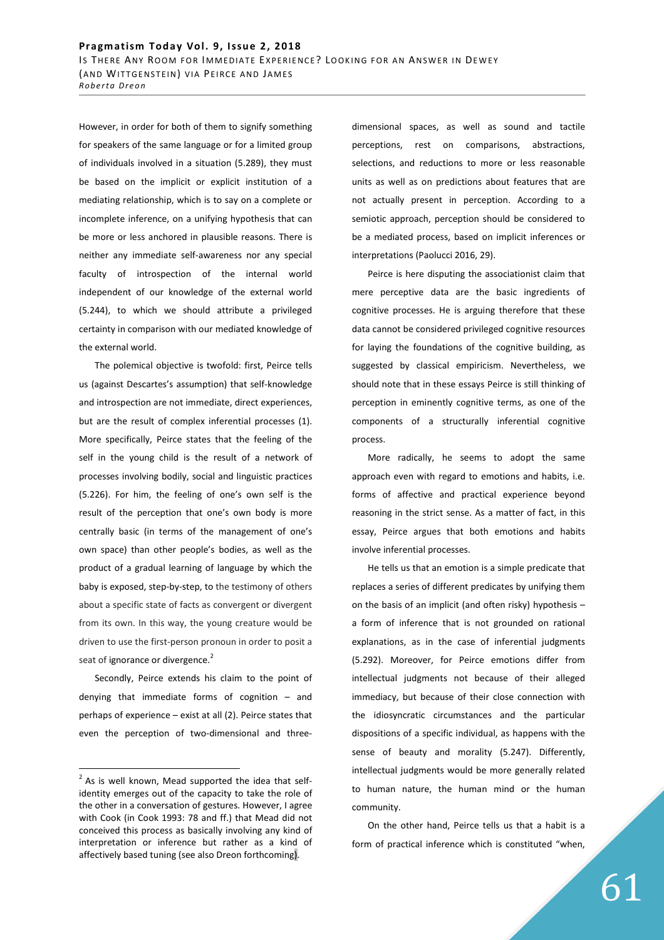However, in order for both of them to signify something for speakers of the same language or for a limited group of individuals involved in a situation (5.289), they must be based on the implicit or explicit institution of a mediating relationship, which is to say on a complete or incomplete inference, on a unifying hypothesis that can be more or less anchored in plausible reasons. There is neither any immediate self-awareness nor any special faculty of introspection of the internal world independent of our knowledge of the external world (5.244), to which we should attribute a privileged certainty in comparison with our mediated knowledge of the external world.

The polemical objective is twofold: first, Peirce tells us (against Descartes's assumption) that self-knowledge and introspection are not immediate, direct experiences, but are the result of complex inferential processes (1). More specifically, Peirce states that the feeling of the self in the young child is the result of a network of processes involving bodily, social and linguistic practices (5.226). For him, the feeling of one's own self is the result of the perception that one's own body is more centrally basic (in terms of the management of one's own space) than other people's bodies, as well as the product of a gradual learning of language by which the baby is exposed, step-by-step, to the testimony of others about a specific state of facts as convergent or divergent from its own. In this way, the young creature would be driven to use the first-person pronoun in order to posit a seat of ignorance or divergence.<sup>2</sup>

Secondly, Peirce extends his claim to the point of denying that immediate forms of cognition – and perhaps of experience – exist at all (2). Peirce states that even the perception of two-dimensional and three-

 $\overline{a}$ 

dimensional spaces, as well as sound and tactile perceptions, rest on comparisons, abstractions, selections, and reductions to more or less reasonable units as well as on predictions about features that are not actually present in perception. According to a semiotic approach, perception should be considered to be a mediated process, based on implicit inferences or interpretations (Paolucci 2016, 29).

Peirce is here disputing the associationist claim that mere perceptive data are the basic ingredients of cognitive processes. He is arguing therefore that these data cannot be considered privileged cognitive resources for laying the foundations of the cognitive building, as suggested by classical empiricism. Nevertheless, we should note that in these essays Peirce is still thinking of perception in eminently cognitive terms, as one of the components of a structurally inferential cognitive process.

More radically, he seems to adopt the same approach even with regard to emotions and habits, i.e. forms of affective and practical experience beyond reasoning in the strict sense. As a matter of fact, in this essay, Peirce argues that both emotions and habits involve inferential processes.

He tells us that an emotion is a simple predicate that replaces a series of different predicates by unifying them on the basis of an implicit (and often risky) hypothesis – a form of inference that is not grounded on rational explanations, as in the case of inferential judgments (5.292). Moreover, for Peirce emotions differ from intellectual judgments not because of their alleged immediacy, but because of their close connection with the idiosyncratic circumstances and the particular dispositions of a specific individual, as happens with the sense of beauty and morality (5.247). Differently, intellectual judgments would be more generally related to human nature, the human mind or the human community.

On the other hand, Peirce tells us that a habit is a form of practical inference which is constituted "when,

 $2$  As is well known, Mead supported the idea that selfidentity emerges out of the capacity to take the role of the other in a conversation of gestures. However, I agree with Cook (in Cook 1993: 78 and ff.) that Mead did not conceived this process as basically involving any kind of interpretation or inference but rather as a kind of affectively based tuning (see also Dreon forthcoming).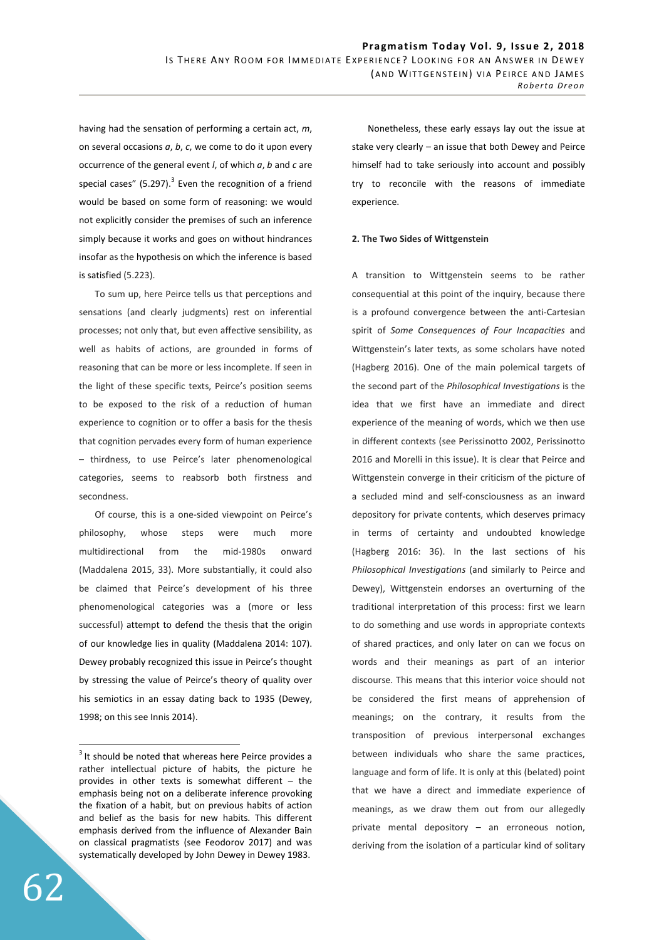having had the sensation of performing a certain act, *m*, on several occasions *a*, *b*, *c*, we come to do it upon every occurrence of the general event *l*, of which *a*, *b* and *c* are special cases" (5.297). $3$  Even the recognition of a friend would be based on some form of reasoning: we would not explicitly consider the premises of such an inference simply because it works and goes on without hindrances insofar as the hypothesis on which the inference is based is satisfied (5.223).

To sum up, here Peirce tells us that perceptions and sensations (and clearly judgments) rest on inferential processes; not only that, but even affective sensibility, as well as habits of actions, are grounded in forms of reasoning that can be more or less incomplete. If seen in the light of these specific texts, Peirce's position seems to be exposed to the risk of a reduction of human experience to cognition or to offer a basis for the thesis that cognition pervades every form of human experience – thirdness, to use Peirce's later phenomenological categories, seems to reabsorb both firstness and secondness.

Of course, this is a one-sided viewpoint on Peirce's philosophy, whose steps were much more multidirectional from the mid-1980s onward (Maddalena 2015, 33). More substantially, it could also be claimed that Peirce's development of his three phenomenological categories was a (more or less successful) attempt to defend the thesis that the origin of our knowledge lies in quality (Maddalena 2014: 107). Dewey probably recognized this issue in Peirce's thought by stressing the value of Peirce's theory of quality over his semiotics in an essay dating back to 1935 (Dewey, 1998; on this see Innis 2014).

Nonetheless, these early essays lay out the issue at stake very clearly – an issue that both Dewey and Peirce himself had to take seriously into account and possibly try to reconcile with the reasons of immediate experience.

## **2. The Two Sides of Wittgenstein**

A transition to Wittgenstein seems to be rather consequential at this point of the inquiry, because there is a profound convergence between the anti-Cartesian spirit of *Some Consequences of Four Incapacities* and Wittgenstein's later texts, as some scholars have noted (Hagberg 2016). One of the main polemical targets of the second part of the *Philosophical Investigations* is the idea that we first have an immediate and direct experience of the meaning of words, which we then use in different contexts (see Perissinotto 2002, Perissinotto 2016 and Morelli in this issue). It is clear that Peirce and Wittgenstein converge in their criticism of the picture of a secluded mind and self-consciousness as an inward depository for private contents, which deserves primacy in terms of certainty and undoubted knowledge (Hagberg 2016: 36). In the last sections of his *Philosophical Investigations* (and similarly to Peirce and Dewey), Wittgenstein endorses an overturning of the traditional interpretation of this process: first we learn to do something and use words in appropriate contexts of shared practices, and only later on can we focus on words and their meanings as part of an interior discourse. This means that this interior voice should not be considered the first means of apprehension of meanings; on the contrary, it results from the transposition of previous interpersonal exchanges between individuals who share the same practices, language and form of life. It is only at this (belated) point that we have a direct and immediate experience of meanings, as we draw them out from our allegedly private mental depository – an erroneous notion, deriving from the isolation of a particular kind of solitary

 $3$  It should be noted that whereas here Peirce provides a rather intellectual picture of habits, the picture he provides in other texts is somewhat different – the emphasis being not on a deliberate inference provoking the fixation of a habit, but on previous habits of action and belief as the basis for new habits. This different emphasis derived from the influence of Alexander Bain on classical pragmatists (see Feodorov 2017) and was systematically developed by John Dewey in Dewey 1983.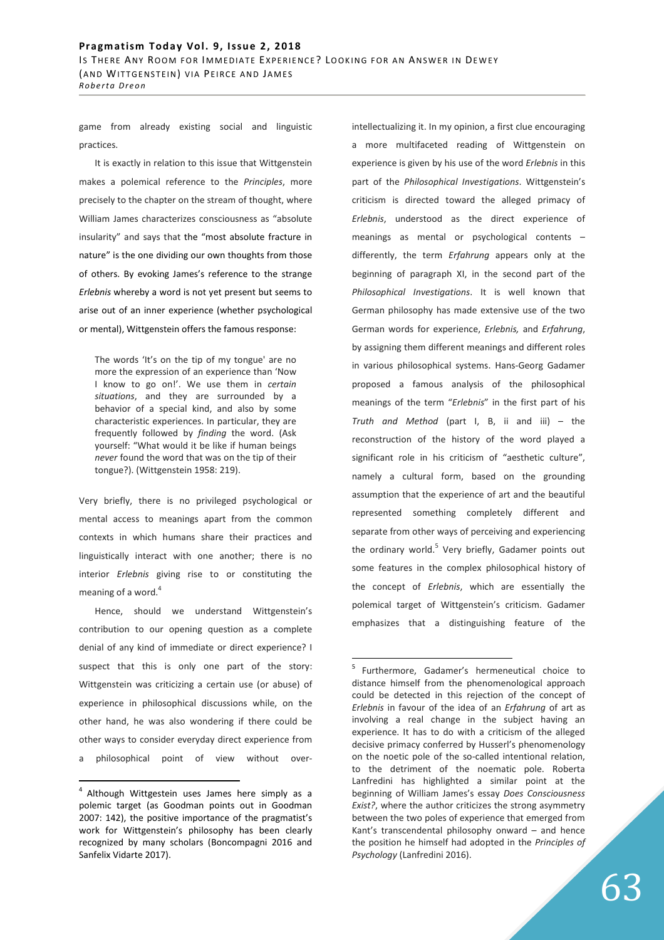game from already existing social and linguistic practices.

It is exactly in relation to this issue that Wittgenstein makes a polemical reference to the *Principles*, more precisely to the chapter on the stream of thought, where William James characterizes consciousness as "absolute insularity" and says that the "most absolute fracture in nature" is the one dividing our own thoughts from those of others. By evoking James's reference to the strange *Erlebnis* whereby a word is not yet present but seems to arise out of an inner experience (whether psychological or mental), Wittgenstein offers the famous response:

The words 'It's on the tip of my tongue' are no more the expression of an experience than 'Now I know to go on!'. We use them in *certain situations*, and they are surrounded by a behavior of a special kind, and also by some characteristic experiences. In particular, they are frequently followed by *finding* the word. (Ask yourself: "What would it be like if human beings *never* found the word that was on the tip of their tongue?). (Wittgenstein 1958: 219).

Very briefly, there is no privileged psychological or mental access to meanings apart from the common contexts in which humans share their practices and linguistically interact with one another; there is no interior *Erlebnis* giving rise to or constituting the meaning of a word. $4$ 

Hence, should we understand Wittgenstein's contribution to our opening question as a complete denial of any kind of immediate or direct experience? I suspect that this is only one part of the story: Wittgenstein was criticizing a certain use (or abuse) of experience in philosophical discussions while, on the other hand, he was also wondering if there could be other ways to consider everyday direct experience from a philosophical point of view without over-

 $\overline{a}$ 

intellectualizing it. In my opinion, a first clue encouraging a more multifaceted reading of Wittgenstein on experience is given by his use of the word *Erlebnis* in this part of the *Philosophical Investigations*. Wittgenstein's criticism is directed toward the alleged primacy of *Erlebnis*, understood as the direct experience of meanings as mental or psychological contents – differently, the term *Erfahrung* appears only at the beginning of paragraph XI, in the second part of the *Philosophical Investigations*. It is well known that German philosophy has made extensive use of the two German words for experience, *Erlebnis,* and *Erfahrung*, by assigning them different meanings and different roles in various philosophical systems. Hans-Georg Gadamer proposed a famous analysis of the philosophical meanings of the term "*Erlebnis*" in the first part of his *Truth and Method* (part I, B, ii and iii) – the reconstruction of the history of the word played a significant role in his criticism of "aesthetic culture", namely a cultural form, based on the grounding assumption that the experience of art and the beautiful represented something completely different and separate from other ways of perceiving and experiencing the ordinary world.<sup>5</sup> Very briefly, Gadamer points out some features in the complex philosophical history of the concept of *Erlebnis*, which are essentially the polemical target of Wittgenstein's criticism. Gadamer emphasizes that a distinguishing feature of the

 $4$  Although Wittgestein uses James here simply as a polemic target (as Goodman points out in Goodman 2007: 142), the positive importance of the pragmatist's work for Wittgenstein's philosophy has been clearly recognized by many scholars (Boncompagni 2016 and Sanfelix Vidarte 2017).

<sup>&</sup>lt;sup>5</sup> Furthermore, Gadamer's hermeneutical choice to distance himself from the phenomenological approach could be detected in this rejection of the concept of *Erlebnis* in favour of the idea of an *Erfahrung* of art as involving a real change in the subject having an experience. It has to do with a criticism of the alleged decisive primacy conferred by Husserl's phenomenology on the noetic pole of the so-called intentional relation, to the detriment of the noematic pole. Roberta Lanfredini has highlighted a similar point at the beginning of William James's essay *Does Consciousness Exist?*, where the author criticizes the strong asymmetry between the two poles of experience that emerged from Kant's transcendental philosophy onward – and hence the position he himself had adopted in the *Principles of Psychology* (Lanfredini 2016).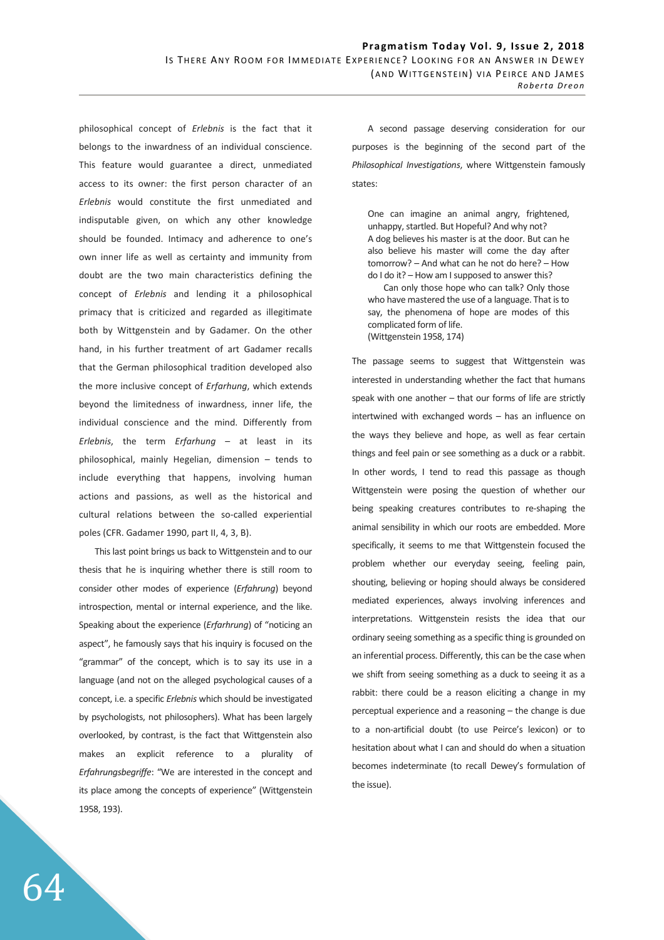philosophical concept of *Erlebnis* is the fact that it belongs to the inwardness of an individual conscience. This feature would guarantee a direct, unmediated access to its owner: the first person character of an *Erlebnis* would constitute the first unmediated and indisputable given, on which any other knowledge should be founded. Intimacy and adherence to one's own inner life as well as certainty and immunity from doubt are the two main characteristics defining the concept of *Erlebnis* and lending it a philosophical primacy that is criticized and regarded as illegitimate both by Wittgenstein and by Gadamer. On the other hand, in his further treatment of art Gadamer recalls that the German philosophical tradition developed also the more inclusive concept of *Erfarhung*, which extends beyond the limitedness of inwardness, inner life, the individual conscience and the mind. Differently from *Erlebnis*, the term *Erfarhung* – at least in its philosophical, mainly Hegelian, dimension – tends to include everything that happens, involving human actions and passions, as well as the historical and cultural relations between the so-called experiential poles (CFR. Gadamer 1990, part II, 4, 3, B).

This last point brings us back to Wittgenstein and to our thesis that he is inquiring whether there is still room to consider other modes of experience (*Erfahrung*) beyond introspection, mental or internal experience, and the like. Speaking about the experience (*Erfarhrung*) of "noticing an aspect", he famously says that his inquiry is focused on the "grammar" of the concept, which is to say its use in a language (and not on the alleged psychological causes of a concept, i.e. a specific *Erlebnis* which should be investigated by psychologists, not philosophers). What has been largely overlooked, by contrast, is the fact that Wittgenstein also makes an explicit reference to a plurality of *Erfahrungsbegriffe*: "We are interested in the concept and its place among the concepts of experience" (Wittgenstein 1958, 193).

A second passage deserving consideration for our purposes is the beginning of the second part of the *Philosophical Investigations*, where Wittgenstein famously states:

One can imagine an animal angry, frightened, unhappy, startled. But Hopeful? And why not? A dog believes his master is at the door. But can he also believe his master will come the day after tomorrow? – And what can he not do here? – How do I do it? – How am I supposed to answer this?

Can only those hope who can talk? Only those who have mastered the use of a language. That is to say, the phenomena of hope are modes of this complicated form of life. (Wittgenstein 1958, 174)

The passage seems to suggest that Wittgenstein was interested in understanding whether the fact that humans speak with one another – that our forms of life are strictly intertwined with exchanged words – has an influence on the ways they believe and hope, as well as fear certain things and feel pain or see something as a duck or a rabbit. In other words, I tend to read this passage as though Wittgenstein were posing the question of whether our being speaking creatures contributes to re-shaping the animal sensibility in which our roots are embedded. More specifically, it seems to me that Wittgenstein focused the problem whether our everyday seeing, feeling pain, shouting, believing or hoping should always be considered mediated experiences, always involving inferences and interpretations. Wittgenstein resists the idea that our ordinary seeing something as a specific thing is grounded on an inferential process. Differently, this can be the case when we shift from seeing something as a duck to seeing it as a rabbit: there could be a reason eliciting a change in my perceptual experience and a reasoning – the change is due to a non-artificial doubt (to use Peirce's lexicon) or to hesitation about what I can and should do when a situation becomes indeterminate (to recall Dewey's formulation of the issue).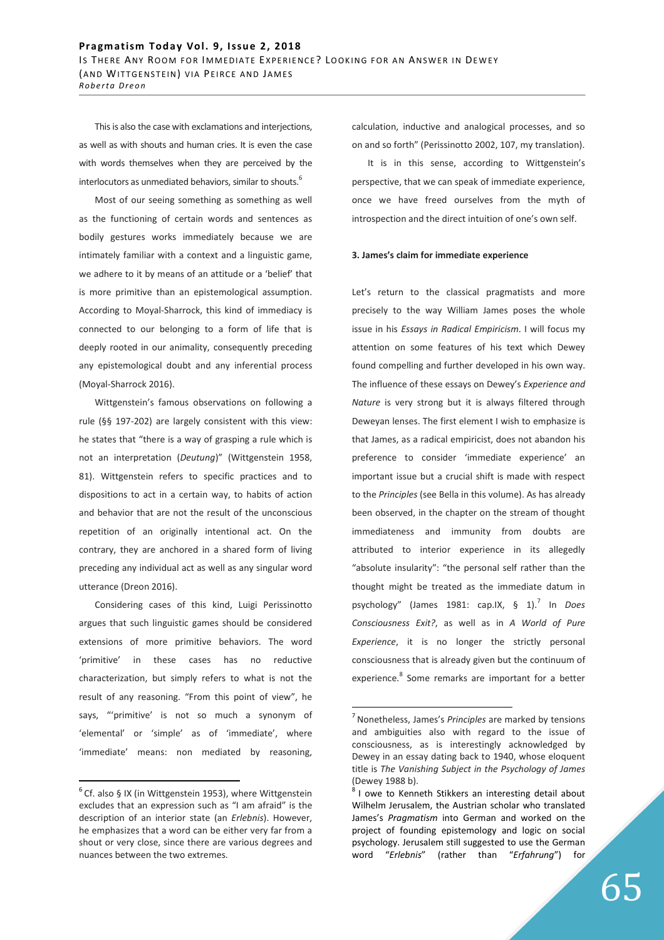This is also the case with exclamations and interjections, as well as with shouts and human cries. It is even the case with words themselves when they are perceived by the interlocutors as unmediated behaviors, similar to shouts.<sup>6</sup>

Most of our seeing something as something as well as the functioning of certain words and sentences as bodily gestures works immediately because we are intimately familiar with a context and a linguistic game, we adhere to it by means of an attitude or a 'belief' that is more primitive than an epistemological assumption. According to Moyal-Sharrock, this kind of immediacy is connected to our belonging to a form of life that is deeply rooted in our animality, consequently preceding any epistemological doubt and any inferential process (Moyal-Sharrock 2016).

Wittgenstein's famous observations on following a rule (§§ 197-202) are largely consistent with this view: he states that "there is a way of grasping a rule which is not an interpretation (*Deutung*)" (Wittgenstein 1958, 81). Wittgenstein refers to specific practices and to dispositions to act in a certain way, to habits of action and behavior that are not the result of the unconscious repetition of an originally intentional act. On the contrary, they are anchored in a shared form of living preceding any individual act as well as any singular word utterance (Dreon 2016).

Considering cases of this kind, Luigi Perissinotto argues that such linguistic games should be considered extensions of more primitive behaviors. The word 'primitive' in these cases has no reductive characterization, but simply refers to what is not the result of any reasoning. "From this point of view", he says, "'primitive' is not so much a synonym of 'elemental' or 'simple' as of 'immediate', where 'immediate' means: non mediated by reasoning,

 $\overline{a}$ 

calculation, inductive and analogical processes, and so on and so forth" (Perissinotto 2002, 107, my translation).

It is in this sense, according to Wittgenstein's perspective, that we can speak of immediate experience, once we have freed ourselves from the myth of introspection and the direct intuition of one's own self.

#### **3. James's claim for immediate experience**

Let's return to the classical pragmatists and more precisely to the way William James poses the whole issue in his *Essays in Radical Empiricism*. I will focus my attention on some features of his text which Dewey found compelling and further developed in his own way. The influence of these essays on Dewey's *Experience and Nature* is very strong but it is always filtered through Deweyan lenses. The first element I wish to emphasize is that James, as a radical empiricist, does not abandon his preference to consider 'immediate experience' an important issue but a crucial shift is made with respect to the *Principles* (see Bella in this volume). As has already been observed, in the chapter on the stream of thought immediateness and immunity from doubts are attributed to interior experience in its allegedly "absolute insularity": "the personal self rather than the thought might be treated as the immediate datum in psychology" (James 1981: cap.IX, § 1).<sup>7</sup> In *Does Consciousness Exit?*, as well as in *A World of Pure Experience*, it is no longer the strictly personal consciousness that is already given but the continuum of experience.<sup>8</sup> Some remarks are important for a better

 $6$  Cf. also § IX (in Wittgenstein 1953), where Wittgenstein excludes that an expression such as "I am afraid" is the description of an interior state (an *Erlebnis*). However, he emphasizes that a word can be either very far from a shout or very close, since there are various degrees and nuances between the two extremes.

<sup>7</sup>Nonetheless, James's *Principles* are marked by tensions and ambiguities also with regard to the issue of consciousness, as is interestingly acknowledged by Dewey in an essay dating back to 1940, whose eloquent title is *The Vanishing Subject in the Psychology of James* (Dewey 1988 b).

 $8$ I owe to Kenneth Stikkers an interesting detail about Wilhelm Jerusalem, the Austrian scholar who translated James's *Pragmatism* into German and worked on the project of founding epistemology and logic on social psychology. Jerusalem still suggested to use the German word "*Erlebnis*" (rather than "*Erfahrung*") for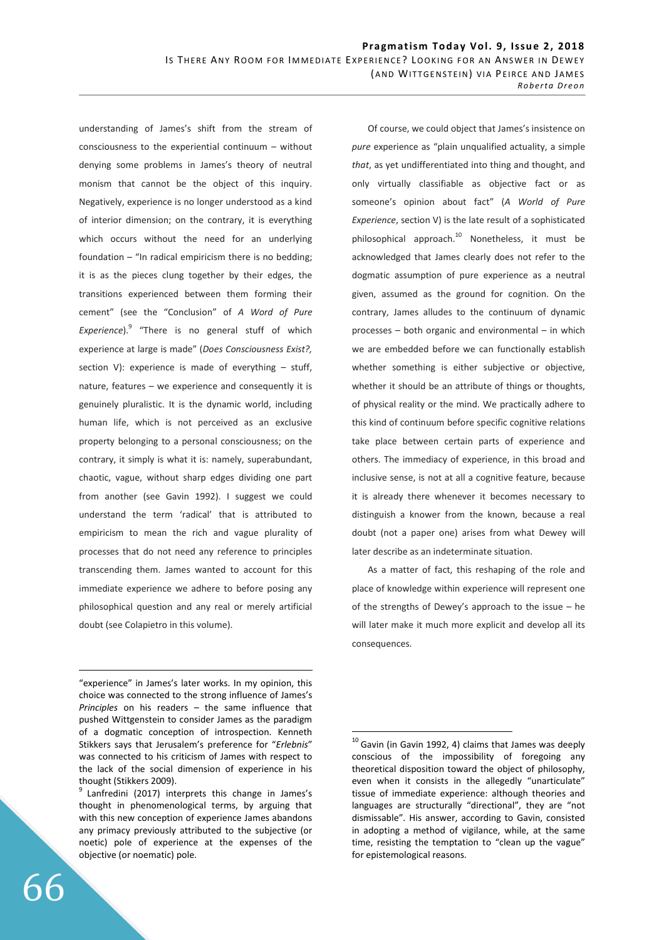understanding of James's shift from the stream of consciousness to the experiential continuum – without denying some problems in James's theory of neutral monism that cannot be the object of this inquiry. Negatively, experience is no longer understood as a kind of interior dimension; on the contrary, it is everything which occurs without the need for an underlying foundation  $-$  "In radical empiricism there is no bedding; it is as the pieces clung together by their edges, the transitions experienced between them forming their cement" (see the "Conclusion" of *A Word of Pure*  Experience).<sup>9</sup> "There is no general stuff of which experience at large is made" (*Does Consciousness Exist?,* section V): experience is made of everything – stuff, nature, features – we experience and consequently it is genuinely pluralistic. It is the dynamic world, including human life, which is not perceived as an exclusive property belonging to a personal consciousness; on the contrary, it simply is what it is: namely, superabundant, chaotic, vague, without sharp edges dividing one part from another (see Gavin 1992). I suggest we could understand the term 'radical' that is attributed to empiricism to mean the rich and vague plurality of processes that do not need any reference to principles transcending them. James wanted to account for this immediate experience we adhere to before posing any philosophical question and any real or merely artificial doubt (see Colapietro in this volume).

"experience" in James's later works. In my opinion, this choice was connected to the strong influence of James's *Principles* on his readers – the same influence that pushed Wittgenstein to consider James as the paradigm of a dogmatic conception of introspection. Kenneth Stikkers says that Jerusalem's preference for "*Erlebnis*" was connected to his criticism of James with respect to the lack of the social dimension of experience in his thought (Stikkers 2009).

<sup>9</sup> Lanfredini (2017) interprets this change in James's thought in phenomenological terms, by arguing that with this new conception of experience James abandons any primacy previously attributed to the subjective (or noetic) pole of experience at the expenses of the objective (or noematic) pole.

66

<u>.</u>

Of course, we could object that James's insistence on *pure* experience as "plain unqualified actuality, a simple *that*, as yet undifferentiated into thing and thought, and only virtually classifiable as objective fact or as someone's opinion about fact" (*A World of Pure Experience*, section V) is the late result of a sophisticated philosophical approach.<sup>10</sup> Nonetheless, it must be acknowledged that James clearly does not refer to the dogmatic assumption of pure experience as a neutral given, assumed as the ground for cognition. On the contrary, James alludes to the continuum of dynamic processes – both organic and environmental – in which we are embedded before we can functionally establish whether something is either subjective or objective, whether it should be an attribute of things or thoughts, of physical reality or the mind. We practically adhere to this kind of continuum before specific cognitive relations take place between certain parts of experience and others. The immediacy of experience, in this broad and inclusive sense, is not at all a cognitive feature, because it is already there whenever it becomes necessary to distinguish a knower from the known, because a real doubt (not a paper one) arises from what Dewey will later describe as an indeterminate situation.

As a matter of fact, this reshaping of the role and place of knowledge within experience will represent one of the strengths of Dewey's approach to the issue – he will later make it much more explicit and develop all its consequences.

 $10$  Gavin (in Gavin 1992, 4) claims that James was deeply conscious of the impossibility of foregoing any theoretical disposition toward the object of philosophy, even when it consists in the allegedly "unarticulate" tissue of immediate experience: although theories and languages are structurally "directional", they are "not dismissable". His answer, according to Gavin, consisted in adopting a method of vigilance, while, at the same time, resisting the temptation to "clean up the vague" for epistemological reasons.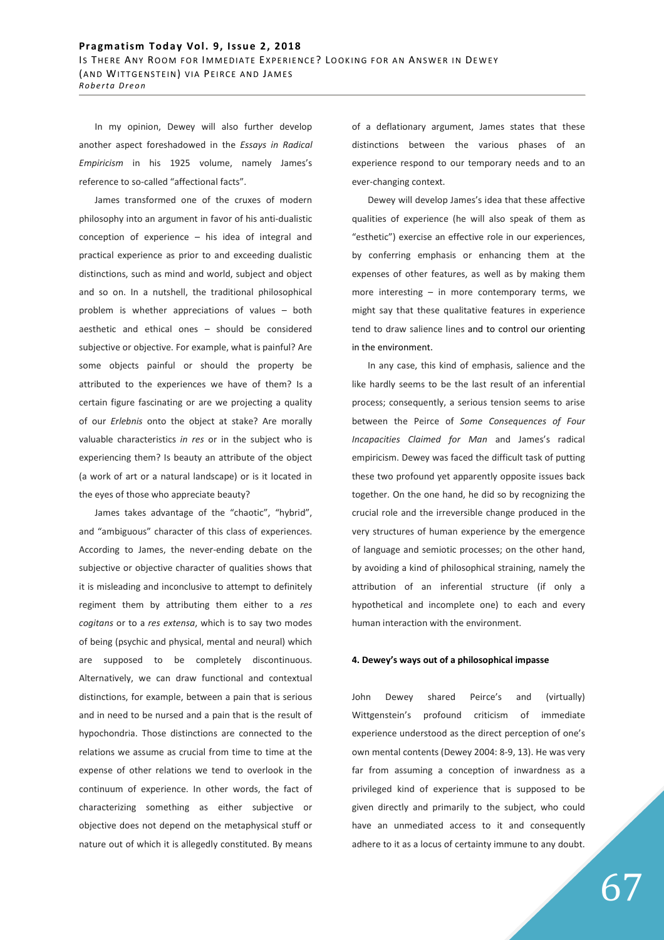In my opinion, Dewey will also further develop another aspect foreshadowed in the *Essays in Radical Empiricism* in his 1925 volume, namely James's reference to so-called "affectional facts".

James transformed one of the cruxes of modern philosophy into an argument in favor of his anti-dualistic conception of experience – his idea of integral and practical experience as prior to and exceeding dualistic distinctions, such as mind and world, subject and object and so on. In a nutshell, the traditional philosophical problem is whether appreciations of values – both aesthetic and ethical ones – should be considered subjective or objective. For example, what is painful? Are some objects painful or should the property be attributed to the experiences we have of them? Is a certain figure fascinating or are we projecting a quality of our *Erlebnis* onto the object at stake? Are morally valuable characteristics *in res* or in the subject who is experiencing them? Is beauty an attribute of the object (a work of art or a natural landscape) or is it located in the eyes of those who appreciate beauty?

James takes advantage of the "chaotic", "hybrid", and "ambiguous" character of this class of experiences. According to James, the never-ending debate on the subjective or objective character of qualities shows that it is misleading and inconclusive to attempt to definitely regiment them by attributing them either to a *res cogitans* or to a *res extensa*, which is to say two modes of being (psychic and physical, mental and neural) which are supposed to be completely discontinuous. Alternatively, we can draw functional and contextual distinctions, for example, between a pain that is serious and in need to be nursed and a pain that is the result of hypochondria. Those distinctions are connected to the relations we assume as crucial from time to time at the expense of other relations we tend to overlook in the continuum of experience. In other words, the fact of characterizing something as either subjective or objective does not depend on the metaphysical stuff or nature out of which it is allegedly constituted. By means

of a deflationary argument, James states that these distinctions between the various phases of an experience respond to our temporary needs and to an ever-changing context.

Dewey will develop James's idea that these affective qualities of experience (he will also speak of them as "esthetic") exercise an effective role in our experiences, by conferring emphasis or enhancing them at the expenses of other features, as well as by making them more interesting – in more contemporary terms, we might say that these qualitative features in experience tend to draw salience lines and to control our orienting in the environment.

In any case, this kind of emphasis, salience and the like hardly seems to be the last result of an inferential process; consequently, a serious tension seems to arise between the Peirce of *Some Consequences of Four Incapacities Claimed for Man* and James's radical empiricism. Dewey was faced the difficult task of putting these two profound yet apparently opposite issues back together. On the one hand, he did so by recognizing the crucial role and the irreversible change produced in the very structures of human experience by the emergence of language and semiotic processes; on the other hand, by avoiding a kind of philosophical straining, namely the attribution of an inferential structure (if only a hypothetical and incomplete one) to each and every human interaction with the environment.

#### **4. Dewey's ways out of a philosophical impasse**

John Dewey shared Peirce's and (virtually) Wittgenstein's profound criticism of immediate experience understood as the direct perception of one's own mental contents (Dewey 2004: 8-9, 13). He was very far from assuming a conception of inwardness as a privileged kind of experience that is supposed to be given directly and primarily to the subject, who could have an unmediated access to it and consequently adhere to it as a locus of certainty immune to any doubt.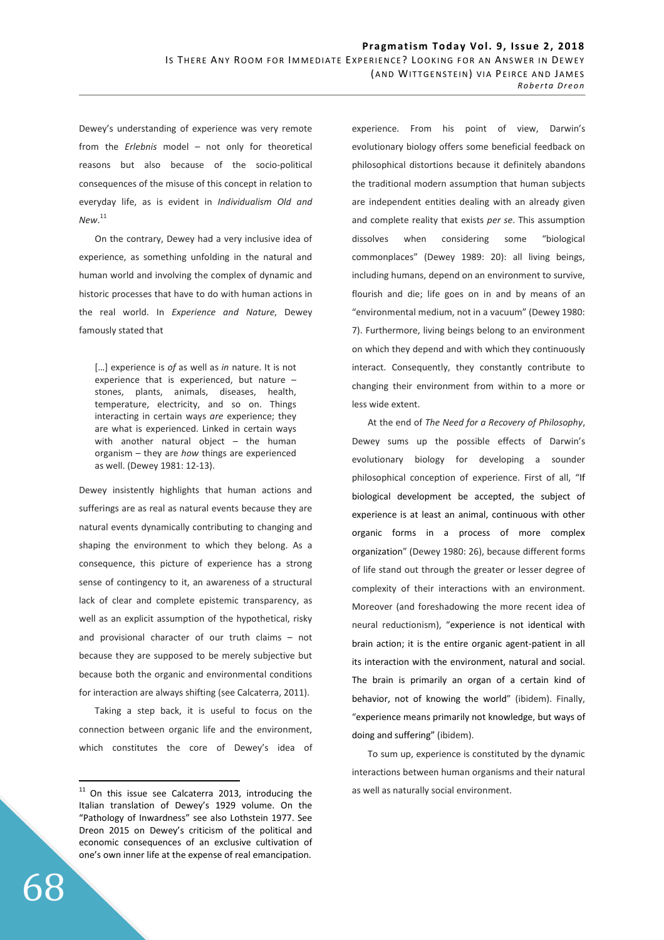Dewey's understanding of experience was very remote from the *Erlebnis* model – not only for theoretical reasons but also because of the socio-political consequences of the misuse of this concept in relation to everyday life, as is evident in *Individualism Old and New*. 11

On the contrary, Dewey had a very inclusive idea of experience, as something unfolding in the natural and human world and involving the complex of dynamic and historic processes that have to do with human actions in the real world. In *Experience and Nature*, Dewey famously stated that

[…] experience is *of* as well as *in* nature. It is not experience that is experienced, but nature – stones, plants, animals, diseases, health, temperature, electricity, and so on. Things interacting in certain ways *are* experience; they are what is experienced. Linked in certain ways with another natural object – the human organism – they are *how* things are experienced as well. (Dewey 1981: 12-13).

Dewey insistently highlights that human actions and sufferings are as real as natural events because they are natural events dynamically contributing to changing and shaping the environment to which they belong. As a consequence, this picture of experience has a strong sense of contingency to it, an awareness of a structural lack of clear and complete epistemic transparency, as well as an explicit assumption of the hypothetical, risky and provisional character of our truth claims – not because they are supposed to be merely subjective but because both the organic and environmental conditions for interaction are always shifting (see Calcaterra, 2011).

Taking a step back, it is useful to focus on the connection between organic life and the environment, which constitutes the core of Dewey's idea of

68

 $\overline{a}$ 

experience. From his point of view, Darwin's evolutionary biology offers some beneficial feedback on philosophical distortions because it definitely abandons the traditional modern assumption that human subjects are independent entities dealing with an already given and complete reality that exists *per se*. This assumption dissolves when considering some "biological commonplaces" (Dewey 1989: 20): all living beings, including humans, depend on an environment to survive, flourish and die; life goes on in and by means of an "environmental medium, not in a vacuum" (Dewey 1980: 7). Furthermore, living beings belong to an environment on which they depend and with which they continuously interact. Consequently, they constantly contribute to changing their environment from within to a more or less wide extent.

At the end of *The Need for a Recovery of Philosophy*, Dewey sums up the possible effects of Darwin's evolutionary biology for developing a sounder philosophical conception of experience. First of all, "If biological development be accepted, the subject of experience is at least an animal, continuous with other organic forms in a process of more complex organization" (Dewey 1980: 26), because different forms of life stand out through the greater or lesser degree of complexity of their interactions with an environment. Moreover (and foreshadowing the more recent idea of neural reductionism), "experience is not identical with brain action; it is the entire organic agent-patient in all its interaction with the environment, natural and social. The brain is primarily an organ of a certain kind of behavior, not of knowing the world" (ibidem). Finally, "experience means primarily not knowledge, but ways of doing and suffering" (ibidem).

To sum up, experience is constituted by the dynamic interactions between human organisms and their natural as well as naturally social environment.

 $11$  On this issue see Calcaterra 2013, introducing the Italian translation of Dewey's 1929 volume. On the "Pathology of Inwardness" see also Lothstein 1977. See Dreon 2015 on Dewey's criticism of the political and economic consequences of an exclusive cultivation of one's own inner life at the expense of real emancipation.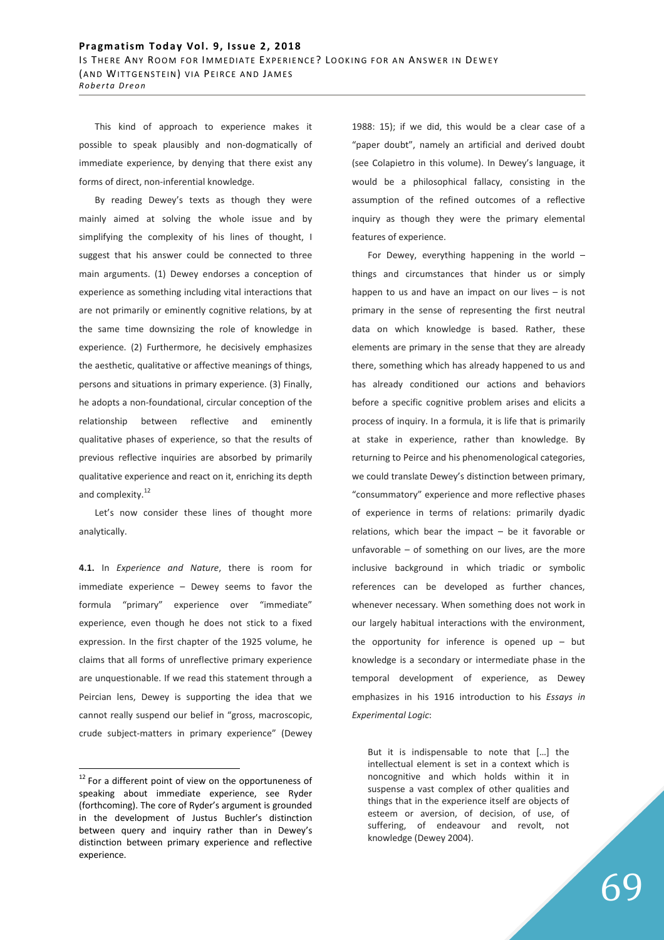This kind of approach to experience makes it possible to speak plausibly and non-dogmatically of immediate experience, by denying that there exist any forms of direct, non-inferential knowledge.

By reading Dewey's texts as though they were mainly aimed at solving the whole issue and by simplifying the complexity of his lines of thought, I suggest that his answer could be connected to three main arguments. (1) Dewey endorses a conception of experience as something including vital interactions that are not primarily or eminently cognitive relations, by at the same time downsizing the role of knowledge in experience. (2) Furthermore, he decisively emphasizes the aesthetic, qualitative or affective meanings of things, persons and situations in primary experience. (3) Finally, he adopts a non-foundational, circular conception of the relationship between reflective and eminently qualitative phases of experience, so that the results of previous reflective inquiries are absorbed by primarily qualitative experience and react on it, enriching its depth and complexity.<sup>12</sup>

Let's now consider these lines of thought more analytically.

**4.1.** In *Experience and Nature*, there is room for immediate experience – Dewey seems to favor the formula "primary" experience over "immediate" experience, even though he does not stick to a fixed expression. In the first chapter of the 1925 volume, he claims that all forms of unreflective primary experience are unquestionable. If we read this statement through a Peircian lens, Dewey is supporting the idea that we cannot really suspend our belief in "gross, macroscopic, crude subject-matters in primary experience" (Dewey

 $\overline{a}$ 

1988: 15); if we did, this would be a clear case of a "paper doubt", namely an artificial and derived doubt (see Colapietro in this volume). In Dewey's language, it would be a philosophical fallacy, consisting in the assumption of the refined outcomes of a reflective inquiry as though they were the primary elemental features of experience.

For Dewey, everything happening in the world – things and circumstances that hinder us or simply happen to us and have an impact on our lives – is not primary in the sense of representing the first neutral data on which knowledge is based. Rather, these elements are primary in the sense that they are already there, something which has already happened to us and has already conditioned our actions and behaviors before a specific cognitive problem arises and elicits a process of inquiry. In a formula, it is life that is primarily at stake in experience, rather than knowledge. By returning to Peirce and his phenomenological categories, we could translate Dewey's distinction between primary, "consummatory" experience and more reflective phases of experience in terms of relations: primarily dyadic relations, which bear the impact – be it favorable or unfavorable  $-$  of something on our lives, are the more inclusive background in which triadic or symbolic references can be developed as further chances, whenever necessary. When something does not work in our largely habitual interactions with the environment, the opportunity for inference is opened up  $-$  but knowledge is a secondary or intermediate phase in the temporal development of experience, as Dewey emphasizes in his 1916 introduction to his *Essays in Experimental Logic*:

But it is indispensable to note that […] the intellectual element is set in a context which is noncognitive and which holds within it in suspense a vast complex of other qualities and things that in the experience itself are objects of esteem or aversion, of decision, of use, of suffering, of endeavour and revolt, not knowledge (Dewey 2004).

 $12$  For a different point of view on the opportuneness of speaking about immediate experience, see Ryder (forthcoming). The core of Ryder's argument is grounded in the development of Justus Buchler's distinction between query and inquiry rather than in Dewey's distinction between primary experience and reflective experience.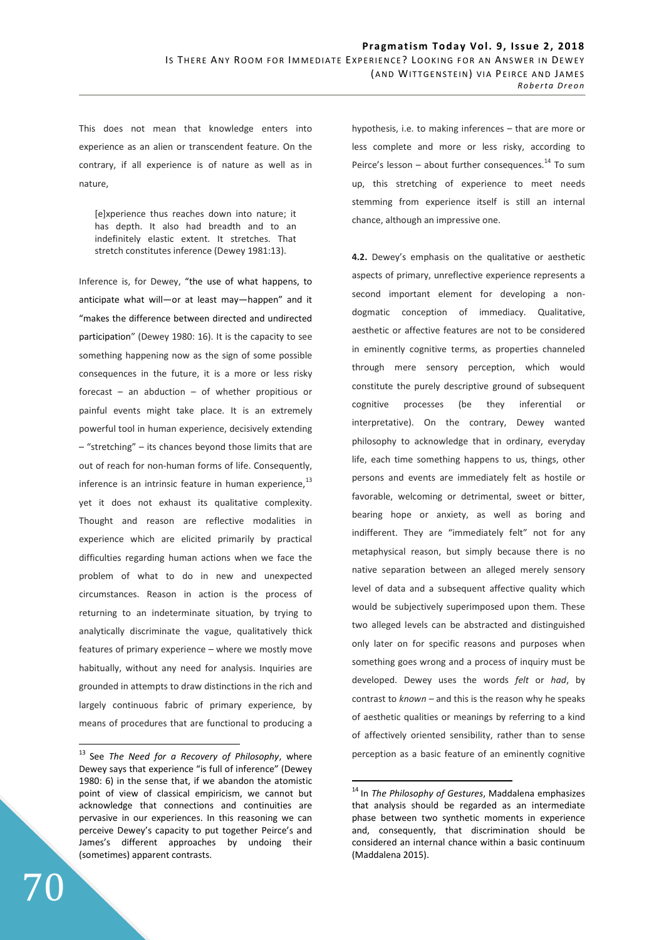This does not mean that knowledge enters into experience as an alien or transcendent feature. On the contrary, if all experience is of nature as well as in nature,

[e]xperience thus reaches down into nature; it has depth. It also had breadth and to an indefinitely elastic extent. It stretches. That stretch constitutes inference (Dewey 1981:13).

Inference is, for Dewey, "the use of what happens, to anticipate what will—or at least may—happen" and it "makes the difference between directed and undirected participation" (Dewey 1980: 16). It is the capacity to see something happening now as the sign of some possible consequences in the future, it is a more or less risky forecast – an abduction – of whether propitious or painful events might take place. It is an extremely powerful tool in human experience, decisively extending – "stretching" – its chances beyond those limits that are out of reach for non-human forms of life. Consequently, inference is an intrinsic feature in human experience,<sup>13</sup> yet it does not exhaust its qualitative complexity. Thought and reason are reflective modalities in experience which are elicited primarily by practical difficulties regarding human actions when we face the problem of what to do in new and unexpected circumstances. Reason in action is the process of returning to an indeterminate situation, by trying to analytically discriminate the vague, qualitatively thick features of primary experience – where we mostly move habitually, without any need for analysis. Inquiries are grounded in attempts to draw distinctions in the rich and largely continuous fabric of primary experience, by means of procedures that are functional to producing a hypothesis, i.e. to making inferences – that are more or less complete and more or less risky, according to Peirce's lesson – about further consequences. $^{14}$  To sum up, this stretching of experience to meet needs stemming from experience itself is still an internal chance, although an impressive one.

**4.2.** Dewey's emphasis on the qualitative or aesthetic aspects of primary, unreflective experience represents a second important element for developing a nondogmatic conception of immediacy. Qualitative, aesthetic or affective features are not to be considered in eminently cognitive terms, as properties channeled through mere sensory perception, which would constitute the purely descriptive ground of subsequent cognitive processes (be they inferential or interpretative). On the contrary, Dewey wanted philosophy to acknowledge that in ordinary, everyday life, each time something happens to us, things, other persons and events are immediately felt as hostile or favorable, welcoming or detrimental, sweet or bitter, bearing hope or anxiety, as well as boring and indifferent. They are "immediately felt" not for any metaphysical reason, but simply because there is no native separation between an alleged merely sensory level of data and a subsequent affective quality which would be subjectively superimposed upon them. These two alleged levels can be abstracted and distinguished only later on for specific reasons and purposes when something goes wrong and a process of inquiry must be developed. Dewey uses the words *felt* or *had*, by contrast to *known –* and this is the reason why he speaks of aesthetic qualities or meanings by referring to a kind of affectively oriented sensibility, rather than to sense perception as a basic feature of an eminently cognitive

 $\overline{a}$ 

<sup>&</sup>lt;sup>13</sup> See *The Need for a Recovery of Philosophy*, where Dewey says that experience "is full of inference" (Dewey 1980: 6) in the sense that, if we abandon the atomistic point of view of classical empiricism, we cannot but acknowledge that connections and continuities are pervasive in our experiences. In this reasoning we can perceive Dewey's capacity to put together Peirce's and James's different approaches by undoing their (sometimes) apparent contrasts.

<sup>&</sup>lt;sup>14</sup> In *The Philosophy of Gestures*, Maddalena emphasizes that analysis should be regarded as an intermediate phase between two synthetic moments in experience and, consequently, that discrimination should be considered an internal chance within a basic continuum (Maddalena 2015).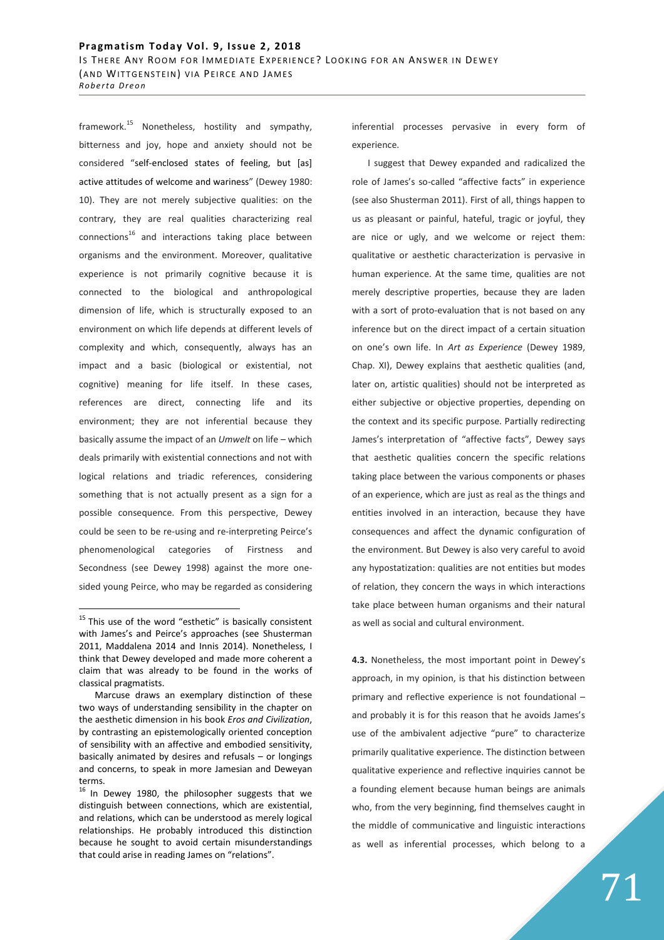framework.<sup>15</sup> Nonetheless, hostility and sympathy, bitterness and joy, hope and anxiety should not be considered "self-enclosed states of feeling, but [as] active attitudes of welcome and wariness" (Dewey 1980: 10). They are not merely subjective qualities: on the contrary, they are real qualities characterizing real connections<sup>16</sup> and interactions taking place between organisms and the environment. Moreover, qualitative experience is not primarily cognitive because it is connected to the biological and anthropological dimension of life, which is structurally exposed to an environment on which life depends at different levels of complexity and which, consequently, always has an impact and a basic (biological or existential, not cognitive) meaning for life itself. In these cases, references are direct, connecting life and its environment; they are not inferential because they basically assume the impact of an *Umwelt* on life – which deals primarily with existential connections and not with logical relations and triadic references, considering something that is not actually present as a sign for a possible consequence. From this perspective, Dewey could be seen to be re-using and re-interpreting Peirce's phenomenological categories of Firstness and Secondness (see Dewey 1998) against the more onesided young Peirce, who may be regarded as considering

 $\overline{a}$ 

inferential processes pervasive in every form of experience.

I suggest that Dewey expanded and radicalized the role of James's so-called "affective facts" in experience (see also Shusterman 2011). First of all, things happen to us as pleasant or painful, hateful, tragic or joyful, they are nice or ugly, and we welcome or reject them: qualitative or aesthetic characterization is pervasive in human experience. At the same time, qualities are not merely descriptive properties, because they are laden with a sort of proto-evaluation that is not based on any inference but on the direct impact of a certain situation on one's own life. In *Art as Experience* (Dewey 1989, Chap. XI), Dewey explains that aesthetic qualities (and, later on, artistic qualities) should not be interpreted as either subjective or objective properties, depending on the context and its specific purpose. Partially redirecting James's interpretation of "affective facts", Dewey says that aesthetic qualities concern the specific relations taking place between the various components or phases of an experience, which are just as real as the things and entities involved in an interaction, because they have consequences and affect the dynamic configuration of the environment. But Dewey is also very careful to avoid any hypostatization: qualities are not entities but modes of relation, they concern the ways in which interactions take place between human organisms and their natural as well as social and cultural environment.

**4.3.** Nonetheless, the most important point in Dewey's approach, in my opinion, is that his distinction between primary and reflective experience is not foundational – and probably it is for this reason that he avoids James's use of the ambivalent adjective "pure" to characterize primarily qualitative experience. The distinction between qualitative experience and reflective inquiries cannot be a founding element because human beings are animals who, from the very beginning, find themselves caught in the middle of communicative and linguistic interactions as well as inferential processes, which belong to a

 $15$  This use of the word "esthetic" is basically consistent with James's and Peirce's approaches (see Shusterman 2011, Maddalena 2014 and Innis 2014). Nonetheless, I think that Dewey developed and made more coherent a claim that was already to be found in the works of classical pragmatists.

Marcuse draws an exemplary distinction of these two ways of understanding sensibility in the chapter on the aesthetic dimension in his book *Eros and Civilization*, by contrasting an epistemologically oriented conception of sensibility with an affective and embodied sensitivity, basically animated by desires and refusals – or longings and concerns, to speak in more Jamesian and Deweyan terms.

 $16$  In Dewey 1980, the philosopher suggests that we distinguish between connections, which are existential, and relations, which can be understood as merely logical relationships. He probably introduced this distinction because he sought to avoid certain misunderstandings that could arise in reading James on "relations".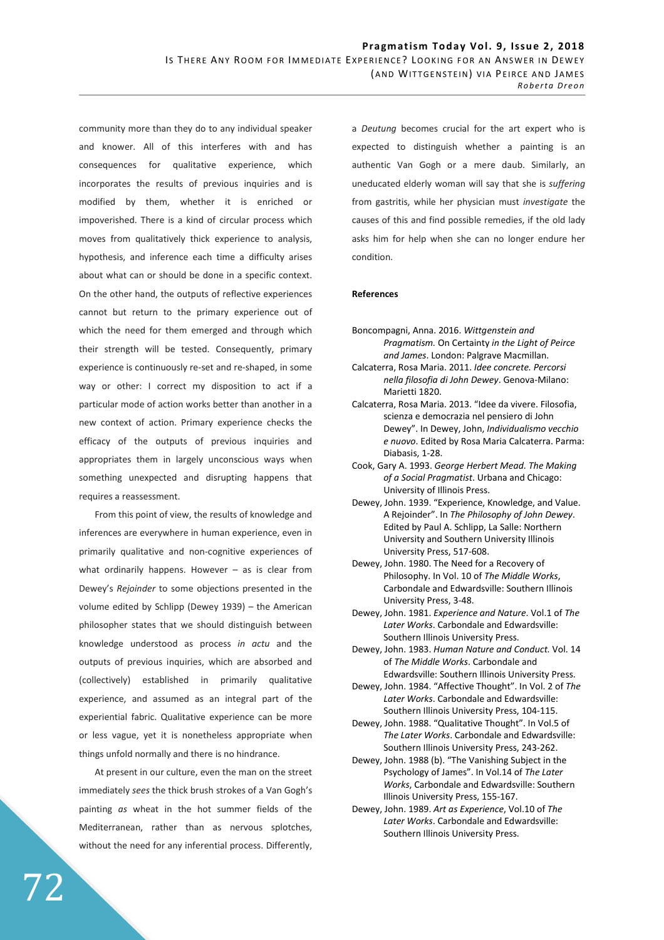community more than they do to any individual speaker and knower. All of this interferes with and has consequences for qualitative experience, which incorporates the results of previous inquiries and is modified by them, whether it is enriched or impoverished. There is a kind of circular process which moves from qualitatively thick experience to analysis, hypothesis, and inference each time a difficulty arises about what can or should be done in a specific context. On the other hand, the outputs of reflective experiences cannot but return to the primary experience out of which the need for them emerged and through which their strength will be tested. Consequently, primary experience is continuously re-set and re-shaped, in some way or other: I correct my disposition to act if a particular mode of action works better than another in a new context of action. Primary experience checks the efficacy of the outputs of previous inquiries and appropriates them in largely unconscious ways when something unexpected and disrupting happens that requires a reassessment.

From this point of view, the results of knowledge and inferences are everywhere in human experience, even in primarily qualitative and non-cognitive experiences of what ordinarily happens. However  $-$  as is clear from Dewey's *Rejoinder* to some objections presented in the volume edited by Schlipp (Dewey 1939) – the American philosopher states that we should distinguish between knowledge understood as process *in actu* and the outputs of previous inquiries, which are absorbed and (collectively) established in primarily qualitative experience, and assumed as an integral part of the experiential fabric. Qualitative experience can be more or less vague, yet it is nonetheless appropriate when things unfold normally and there is no hindrance.

At present in our culture, even the man on the street immediately *sees* the thick brush strokes of a Van Gogh's painting *as* wheat in the hot summer fields of the Mediterranean, rather than as nervous splotches, without the need for any inferential process. Differently,

a *Deutung* becomes crucial for the art expert who is expected to distinguish whether a painting is an authentic Van Gogh or a mere daub. Similarly, an uneducated elderly woman will say that she is *suffering* from gastritis, while her physician must *investigate* the causes of this and find possible remedies, if the old lady asks him for help when she can no longer endure her condition.

### **References**

- Boncompagni, Anna. 2016. *Wittgenstein and Pragmatism.* On Certainty *in the Light of Peirce and James*. London: Palgrave Macmillan.
- Calcaterra, Rosa Maria. 2011. *Idee concrete. Percorsi nella filosofia di John Dewey*. Genova-Milano: Marietti 1820.
- Calcaterra, Rosa Maria. 2013. "Idee da vivere. Filosofia, scienza e democrazia nel pensiero di John Dewey". In Dewey, John, *Individualismo vecchio e nuovo*. Edited by Rosa Maria Calcaterra. Parma: Diabasis, 1-28.
- Cook, Gary A. 1993. *George Herbert Mead. The Making of a Social Pragmatist*. Urbana and Chicago: University of Illinois Press.
- Dewey, John. 1939. "Experience, Knowledge, and Value. A Rejoinder". In *The Philosophy of John Dewey*. Edited by Paul A. Schlipp, La Salle: Northern University and Southern University Illinois University Press, 517-608.
- Dewey, John. 1980. The Need for a Recovery of Philosophy. In Vol. 10 of *The Middle Works*, Carbondale and Edwardsville: Southern Illinois University Press, 3-48.
- Dewey, John. 1981. *Experience and Nature*. Vol.1 of *The Later Works*. Carbondale and Edwardsville: Southern Illinois University Press.
- Dewey, John. 1983. *Human Nature and Conduct.* Vol. 14 of *The Middle Works*. Carbondale and Edwardsville: Southern Illinois University Press.
- Dewey, John. 1984. "Affective Thought". In Vol. 2 of *The Later Works*. Carbondale and Edwardsville: Southern Illinois University Press, 104-115.
- Dewey, John. 1988. "Qualitative Thought". In Vol.5 of *The Later Works*. Carbondale and Edwardsville: Southern Illinois University Press, 243-262.
- Dewey, John. 1988 (b). "The Vanishing Subject in the Psychology of James". In Vol.14 of *The Later Works*, Carbondale and Edwardsville: Southern Illinois University Press, 155-167.
- Dewey, John. 1989. *Art as Experience*, Vol.10 of *The Later Works*. Carbondale and Edwardsville: Southern Illinois University Press.

72